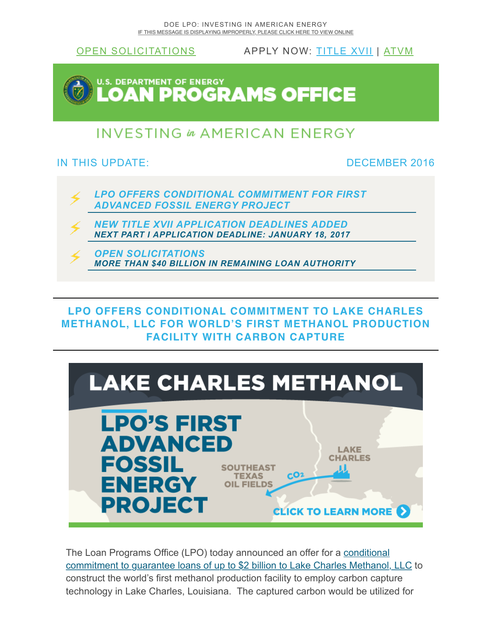

**LPO OFFERS CONDITIONAL COMMITMENT TO LAKE CHARLES [METHANOL, LLC FOR WORLD'S FIRST METHANOL PRODUCTION](http://us8.campaign-archive2.com/?u=67ad6db4987865747f98574e5&id=891f664a4f#tableofcontents) FACILITY WITH CARBON CAPTURE**



The Loan Programs Office (LPO) today announced an offer for a conditional [commitment to guarantee loans of up to \\$2 billion to Lake Charles Methanol, LLC](http://www.energy.gov/node/2194486) to construct the world's first methanol production facility to employ carbon capture technology in Lake Charles, Louisiana. The captured carbon would be utilized for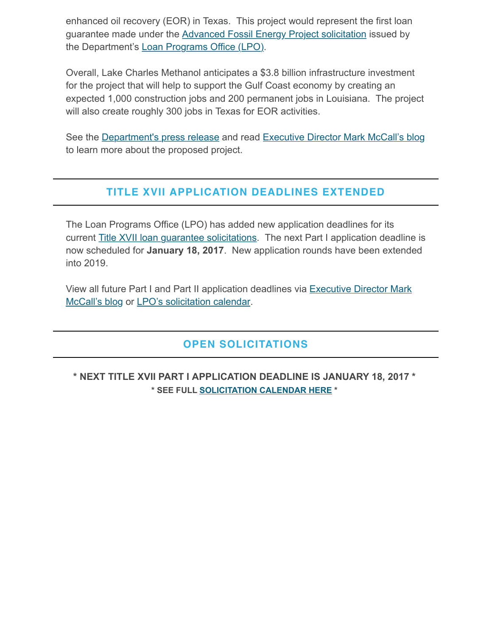enhanced oil recovery (EOR) in Texas. This project would represent the first loan guarantee made under the [Advanced Fossil Energy Project solicitation](http://www.energy.gov/lpo/fossil-solicitation) issued by the Department's [Loan Programs Office \(LPO\)](http://www.energy.gov/lpo).

Overall, Lake Charles Methanol anticipates a \$3.8 billion infrastructure investment for the project that will help to support the Gulf Coast economy by creating an expected 1,000 construction jobs and 200 permanent jobs in Louisiana. The project will also create roughly 300 jobs in Texas for EOR activities.

See the [Department's press release](http://www.energy.gov/node/2206849) and read [Executive Director Mark McCall's blog](http://www.energy.gov/node/2194486) to learn more about the proposed project.

## **[TITLE XVII APPLICATION DEADLINES EXTENDED](http://us8.campaign-archive2.com/?u=67ad6db4987865747f98574e5&id=891f664a4f#tableofcontents)**

The Loan Programs Office (LPO) has added new application deadlines for its current [Title XVII loan guarantee solicitations.](http://www.energy.gov/lpo/solicitations) The next Part I application deadline is now scheduled for **January 18, 2017**. New application rounds have been extended into 2019.

[View all future Part I and Part II application deadlines via Executive Director Mark](http://www.energy.gov/node/2154259) McCall's blog or [LPO's solicitation calendar.](http://energy.gov/lpo/calendars/solicitation-calendar)

## **[OPEN SOLICITATIONS](http://us8.campaign-archive2.com/?u=67ad6db4987865747f98574e5&id=891f664a4f#tableofcontents)**

**\* NEXT TITLE XVII PART I APPLICATION DEADLINE IS JANUARY 18, 2017 \* \* SEE FULL [SOLICITATION CALENDAR HERE](http://energy.gov/lpo/calendars/solicitation-calendar) \***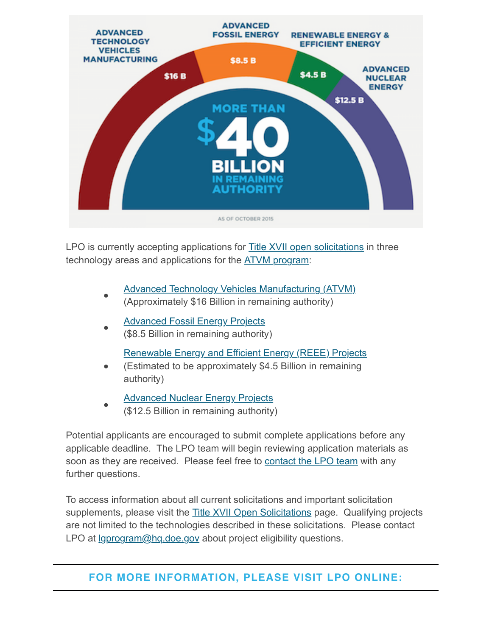

LPO is currently accepting applications for **Title XVII open solicitations** in three technology areas and applications for the **ATVM** program:

- [Advanced Technology Vehicles Manufacturing \(ATVM\)](http://www.energy.gov/lpo/atvm)
- (Approximately \$16 Billion in remaining authority)
- **[Advanced Fossil Energy Projects](http://www.energy.gov/lpo/fossil-solicitation)** (\$8.5 Billion in remaining authority)

[Renewable Energy and Efficient Energy \(REEE\) Projects](http://www.energy.gov/lpo/reee-solicitation)

- (Estimated to be approximately \$4.5 Billion in remaining authority)
- [Advanced Nuclear Energy Projects](http://www.energy.gov/lpo/nuclear-solicitation)
	- (\$12.5 Billion in remaining authority)

Potential applicants are encouraged to submit complete applications before any applicable deadline. The LPO team will begin reviewing application materials as soon as they are received. Please feel free to [contact the LPO team](http://www.energy.gov/lpo/about-us/contact-us) with any further questions.

To access information about all current solicitations and important solicitation supplements, please visit the [Title XVII Open Solicitations](http://www.energy.gov/lpo/solicitations) page. Qualifying projects are not limited to the technologies described in these solicitations. Please contact LPO at *<u>Igprogram@hq.doe.gov</u>* about project eligibility questions.

## **[FOR MORE INFORMATION, PLEASE VISIT LPO ONLINE:](http://us8.campaign-archive2.com/?u=67ad6db4987865747f98574e5&id=891f664a4f#tableofcontents)**